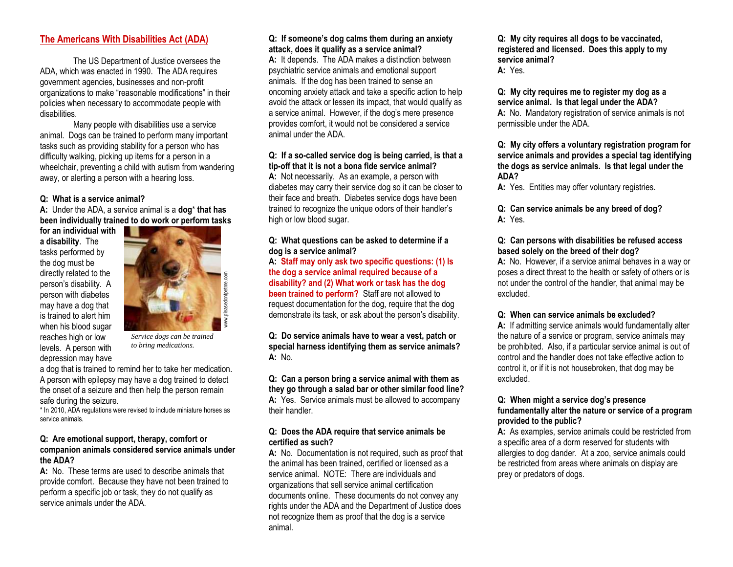# **The Americans With Disabilities Act (ADA)**

The US Department of Justice oversees the ADA, which was enacted in 1990. The ADA requires government agencies, businesses and non-profit organizations to make "reasonable modifications" in their policies when necessary to accommodate people with disabilities.

Many people with disabilities use a service animal. Dogs can be trained to perform many important tasks such as providing stability for a person who has difficulty walking, picking up items for a person in a wheelchair, preventing a child with autism from wandering away, or alerting a person with a hearing loss.

#### **Q: What is a service animal?**

**A:** Under the ADA, a service animal is a **dog**\* **that has been individually trained to do work or perform tasks** 

**for an individual with a disability**. The tasks performed by the dog must be directly related to the person's disability. A person with diabetes may have a dog that is trained to alert him when his blood sugar reaches high or low levels. A person with depression may have



*Service dogs can be trained to bring medications.* 

a dog that is trained to remind her to take her medication. A person with epilepsy may have a dog trained to detect the onset of a seizure and then help the person remain safe during the seizure.

\* In 2010, ADA regulations were revised to include miniature horses as service animals.

### **Q: Are emotional support, therapy, comfort or companion animals considered service animals under the ADA?**

**A:** No. These terms are used to describe animals that provide comfort. Because they have not been trained to perform a specific job or task, they do not qualify as service animals under the ADA.

# **Q: If someone's dog calms them during an anxiety attack, does it qualify as a service animal?**

**A:** It depends. The ADA makes a distinction between psychiatric service animals and emotional support animals. If the dog has been trained to sense an oncoming anxiety attack and take a specific action to help avoid the attack or lessen its impact, that would qualify as a service animal. However, if the dog's mere presence provides comfort, it would not be considered a service animal under the ADA.

#### **Q: If a so-called service dog is being carried, is that a tip-off that it is not a bona fide service animal?**

**A:** Not necessarily. As an example, a person with diabetes may carry their service dog so it can be closer to their face and breath. Diabetes service dogs have been trained to recognize the unique odors of their handler's high or low blood sugar.

### **Q: What questions can be asked to determine if a dog is a service animal?**

#### **A: Staff may only ask two specific questions: (1) Is the dog a service animal required because of a disability? and (2) What work or task has the dog been trained to perform?** Staff are not allowed to request documentation for the dog, require that the dog demonstrate its task, or ask about the person's disability.

**Q: Do service animals have to wear a vest, patch or special harness identifying them as service animals? A:** No.

**Q: Can a person bring a service animal with them as they go through a salad bar or other similar food line? A:** Yes. Service animals must be allowed to accompany their handler.

# **Q: Does the ADA require that service animals be certified as such?**

**A:** No. Documentation is not required, such as proof that the animal has been trained, certified or licensed as a service animal. NOTE: There are individuals and organizations that sell service animal certification documents online. These documents do not convey any rights under the ADA and the Department of Justice does not recognize them as proof that the dog is a service animal.

**Q: My city requires all dogs to be vaccinated, registered and licensed. Does this apply to my service animal? A:** Yes.

**Q: My city requires me to register my dog as a service animal. Is that legal under the ADA? A:** No. Mandatory registration of service animals is not permissible under the ADA.

**Q: My city offers a voluntary registration program for service animals and provides a special tag identifying the dogs as service animals. Is that legal under the ADA?**

**A:** Yes. Entities may offer voluntary registries.

**Q: Can service animals be any breed of dog? A:** Yes.

## **Q: Can persons with disabilities be refused access based solely on the breed of their dog?**

**A:** No. However, if a service animal behaves in a way or poses a direct threat to the health or safety of others or is not under the control of the handler, that animal may be excluded.

# **Q: When can service animals be excluded?**

**A:** If admitting service animals would fundamentally alter the nature of a service or program, service animals may be prohibited. Also, if a particular service animal is out of control and the handler does not take effective action to control it, or if it is not housebroken, that dog may be excluded.

### **Q: When might a service dog's presence fundamentally alter the nature or service of a program provided to the public?**

**A:** As examples, service animals could be restricted from a specific area of a dorm reserved for students with allergies to dog dander. At a zoo, service animals could be restricted from areas where animals on display are prey or predators of dogs.